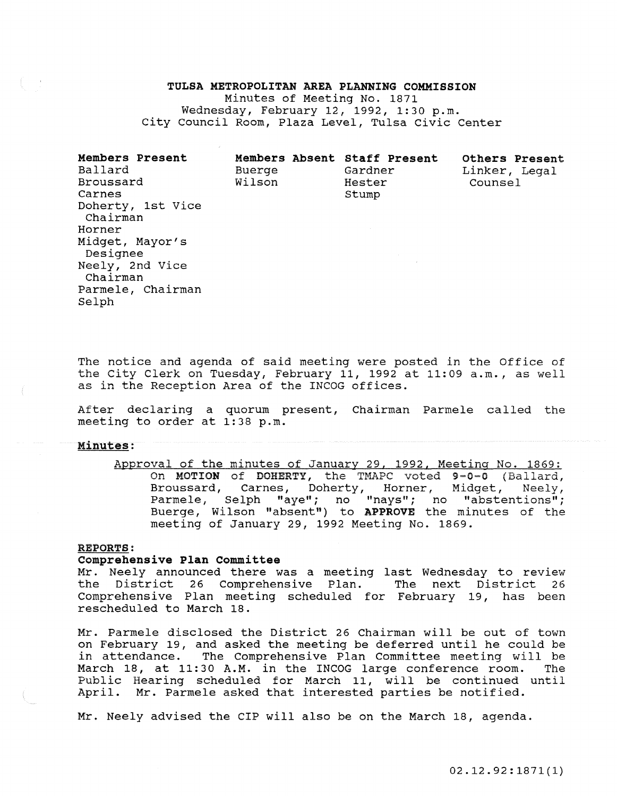### TULSA METROPOLITAN AREA PLANNING COMMISSION

Minutes of Meeting No. 1871 Wednesday, February 12, 1992, 1:30 p.m. City Council Room, Plaza Level, Tulsa Civic Center

Members Present Ballard Broussard Carnes Doherty, 1st Vice Chairman Horner Midget, Mayor's Designee Neely, 2nd Vice Chairman Parmele, Chairman Selph Members Absent Staff Present Buerge Wilson Gardner Hester Stump Others Present Linker, Legal Counsel

The notice and agenda of said meeting were posted in the Office of the City Clerk on Tuesday, February 11, 1992 at 11:09 a.m., as well as in the Reception Area of the lNCOG offices.

After declaring a quorum present, Chairman Parmele called the meeting to order at 1:38 p.m.

### Minutes:

Approval of the minutes of January 29, 1992, Meeting No. 1869: On MOTION of DOHERTY, the TMAPC voted 9-0-0 (Ballard, Broussard, Carnes, Doherty, Horner, Midget, Neely, Parmele, Selph "aye"; no "nays"; no "abstentions"; Buerge, Wilson "absent") to APPROVE the minutes of the meeting of January 29, 1992 Meeting No. 1869.

### REPORTS:

### Comprehensive Plan Committee

Mr. Neely announced there was a meeting last Wednesday to review District 26 Comprehensive Plan. The next District 26 Comprehensive Plan meeting scheduled for February 19, has been rescheduled to March 18.

Mr. Parmele disclosed the District 26 Chairman will be out of town on February 19, and asked the meeting be deferred until he could be in attendance. The Comprehensive Plan Committee meeting will be March 18, at 11:30 A.M. in the lNCOG large conference room. The Public Hearing scheduled for March 11, will be continued until April. Mr. Parmele asked that interested parties be notified.

Mr. Neely advised the ClP will also be on the March 18, agenda.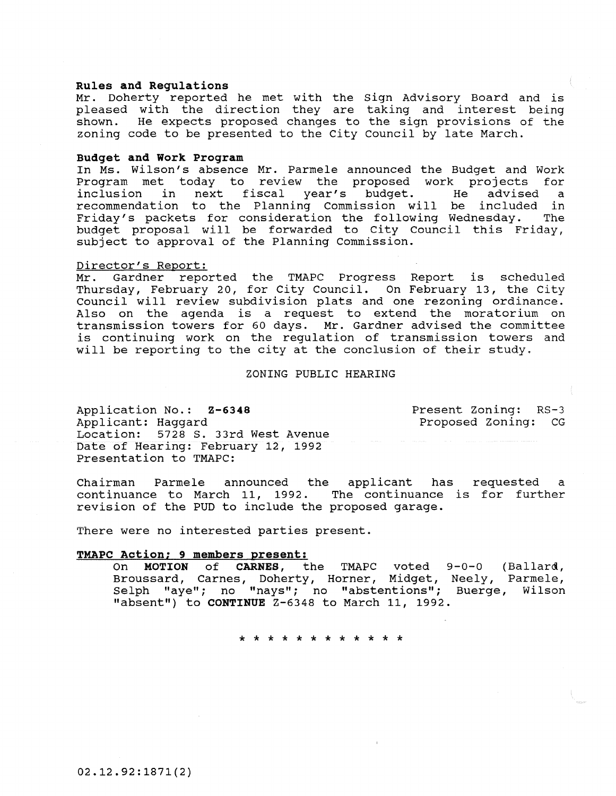### **Rules and Regulations**

Mr. Doherty reported he met with the sign Advisory Board and is pleased with the direction they are taking and interest being shown. He expects proposed changes to the sign provisions of the zoning code to be presented to the city council by late March.

### **Budget and Work Program**

In Ms. Wilson's absence Mr. Parmele announced the Budget and Work Program met today to review the proposed work projects for<br>inclusion in next fiscal vear's budget. He advised a in next fiscal year's budget. He advised a<br>ion to the Planning Commission will be included in recommendation to the Planning Commission will be included in Friday's packets for consideration the following Wednesday. The budget proposal will be forwarded to City Council this Friday, subject to approval of the Planning Commission.

## Director's Report:<br>Mr. Gardner repo

Gardner reported the TMAPC Progress Report is scheduled Thursday, February 20, for city Council. On February 13, the city council will review subdivision plats and one rezoning ordinance. Also on the agenda is a request to extend the moratorium on transmission towers for 60 days. Mr. Gardner advised the committee is continuing work on the regulation of transmission towers and will be reporting to the city at the conclusion of their study.

### ZONING PUBLIC HEARING

Application No.: **Z-6348**  Applicant: Haggard<br>Location: 5728 S. 5728 S. 33rd West Avenue Date of Hearing: February 12, 1992 Presentation to TMAPC:

Present Zoning: RS-3 Proposed Zoning: CG

Chairman Parmele announced the applicant has requested a continuance to March 11, 1992. revision of the PUD to include the proposed garage.

There were no interested parties present.

### **TMAPC Action; 9 members present:**

(Ballard, Neely, Parmele, Buerge, Wilson On **MOTION of CARNES,** the TMAPC voted Broussard, Carnes, Doherty, Horner, Midget, Selph "aye"; no "nays"; no "abstentions"; "absent") to **CONTINUE** Z-6348 to March 11, 1992.

\* \* \* \* \* \* \* \* \* \* \* \*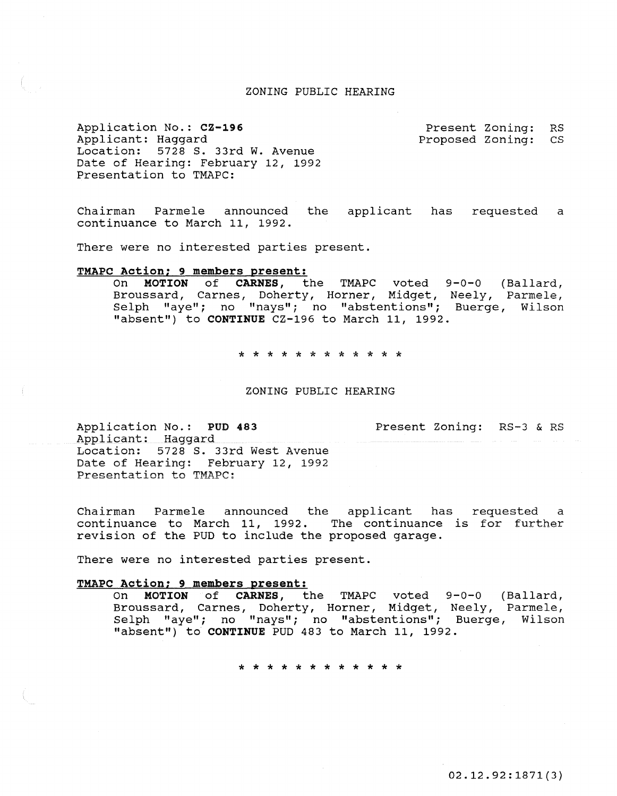### ZONING PUBLIC HEARING

Application No.: CZ-196 Applicant: Haggard Location: 5728 S. 33rd W. Avenue Date of Hearing: February 12, 1992 Presentation to TMAPC:

Present Zoning: RS<br>Proposed Zoning: CS Proposed Zoning:

Chairman Parmele announced the applicant has requested a continuance to March 11, 1992.

There were no interested parties present.

### TMAPC Action; 9 members present:

On MOTION of CARNES, the TMAPC voted 9-0-0 (Ballard, Broussard, Carnes, Doherty, Horner, Midget, Neely, Parmele, Selph "aye"; no "nays"; no "abstentions"; Buerge, Wilson "absent") to CONTINUE CZ-196 to March 11, 1992.

\* \* \* \* \* \* \* \* \* \* \* \*

### ZONING PUBLIC HEARING

Application No.: PUD 483 Applicant: Haggard Present Zoning: RS-3 & RS Location: 5728 S. 33rd West Avenue Date of Hearing: February 12, 1992 Presentation to TMAPC:

Chairman Parmele announced the applicant has requested a continuance to March 11, 1992. The continuance is for further revision of the PUD to include the proposed garage.

There were no interested parties present.

# TMAPC Action; 9 members present:<br>On MOTION of CARNES, t

MOTION of CARNES, the TMAPC voted 9-0-0 (Ballard, Broussard, Carnes, Doherty, Horner, Midget, Neely, Parmele, Selph "aye"; no "nays"; no "abstentions"; Buerge, Wilson "absent") to CONTINUE PUD 483 to March 11, 1992.

\* \* \* \* \* \* \* \* \* \* \* \*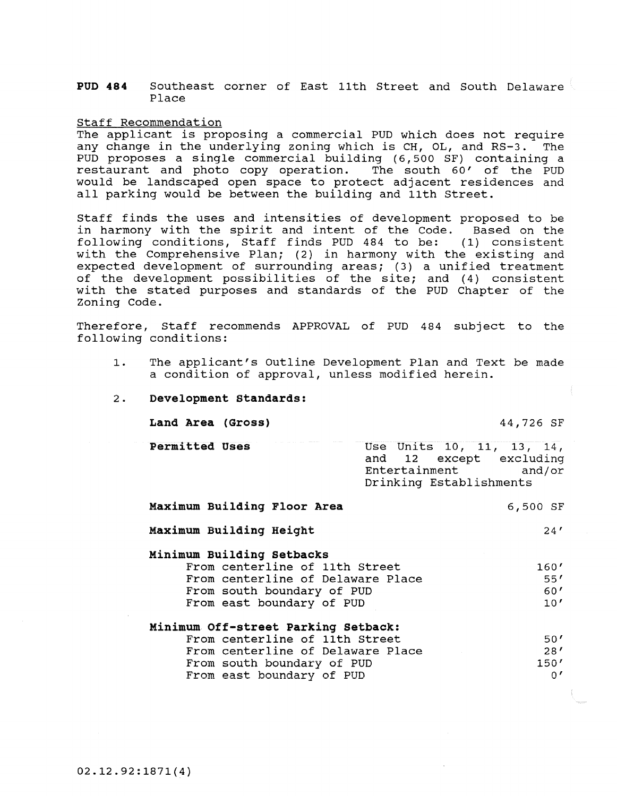**PUD 484** Southeast corner of East 11th Street and South Delaware Place

### Staff Recommendation

The applicant is proposing a commercial PUD which does not require<br>any change in the underlying zoning which is CH, OL, and RS-3. The any change in the underlying zoning which is CH, OL, and RS-3. PUD proposes a single commercial building (6,500 SF) containing a restaurant and photo copy operation. The south 60' of the PUD would be landscaped open space to protect adjacent residences and all parking would be between the building and 11th Street.

Staff finds the uses and intensities of development proposed to be in harmony with the spirit and intent of the Code. Based on the following conditions, Staff finds PUD 484 to be: (1) consistent with the Comprehensive Plan; (2) in harmony with the existing and expected development of surrounding areas; (3) a unified treatment of the development possibilities of the site; and (4) consistent with the stated purposes and standards of the PUD Chapter of the Zoning Code.

Therefore, Staff recommends APPROVAL of PUD 484 subject to the following conditions:

- 1. The applicant's Outline Development Plan and Text be made a condition of approval, unless modified herein.
- 2. **Development Standards:**

**Land Area (Gross) 44,726 SF** 

**Permitted Uses** 

|               | Use Units 10, 11, 13, 14, |  |  |        |
|---------------|---------------------------|--|--|--------|
|               | and 12 except excluding   |  |  |        |
| Entertainment |                           |  |  | and/or |
|               | Drinking Establishments   |  |  |        |

| Maximum Building Floor Area         | 6,500 SF   |
|-------------------------------------|------------|
| Maximum Building Height             | 24'        |
| Minimum Building Setbacks           |            |
| From centerline of 11th Street      | 160'       |
| From centerline of Delaware Place   | 55'        |
| From south boundary of PUD          | 60'        |
| From east boundary of PUD           | 10'        |
| Minimum Off-street Parking Setback: |            |
| From centerline of 11th Street      | 50'        |
| From centerline of Delaware Place   | 28'        |
| From south boundary of PUD          | 150'       |
| From east boundary of PUD           | $^{\circ}$ |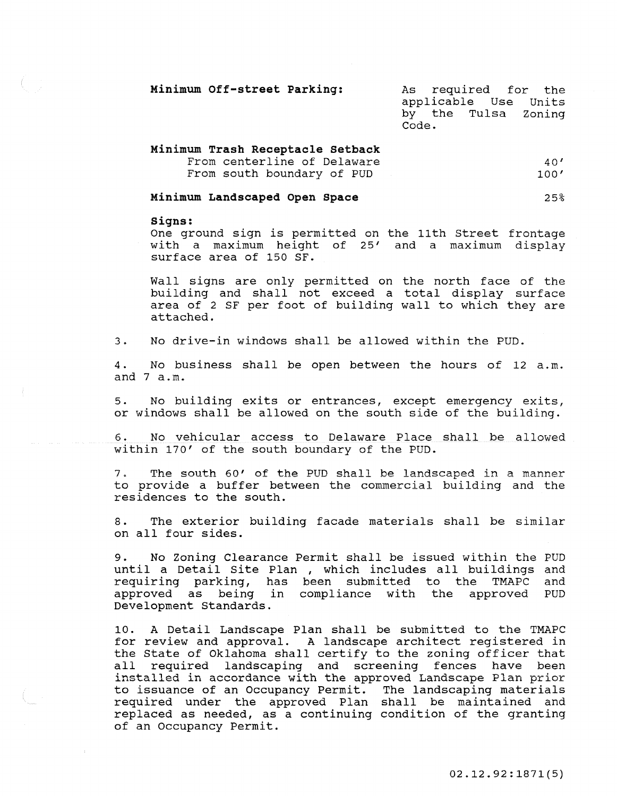| Minimum Off-street Parking: |       |  | As required for the                         |
|-----------------------------|-------|--|---------------------------------------------|
|                             |       |  | applicable Use Units<br>by the Tulsa Zoning |
|                             | Code. |  |                                             |

| Minimum Trash Receptacle Setback |      |
|----------------------------------|------|
| From centerline of Delaware      | 40'  |
| From south boundary of PUD       | 100' |

#### **Minimum Landscaped Open Space**  25%

### **signs:**

One ground sign is permitted on the 11th street frontage with a maximum height of 25' and a maximum display surface area of 150 SF.

Wall signs are only permitted on the north face of the building and shall not exceed a total display surface area of 2 SF per foot of building wall to which they are attached.

3. No drive-in windows shall be allowed within the PUD.

4. No business shall be open between the hours of 12 a.m. and 7 a.m.

5. No building exits or entrances, except emergency exits, or windows shall be allowed on the south side of the building.

6. No vehicular access to Delaware Place shall be allowed within 170' of the south boundary of the PUD.

7. The south 60' of the PUD shall be landscaped in a manner to provide a buffer between the commercial building and the residences to the south.

8. The exterior building facade materials shall be similar on all four sides.

9. No Zoning Clearance Permit shall be issued within the PUD until a Detail Site Plan , which includes all buildings and<br>requiring parking, has been submitted to the TMAPC and requiring parking, has been submitted to the TMAPC and approved as being in compliance with the approved PUD Development Standards.

10. A Detail Landscape Plan shall be submitted to the TMAPC for review and approval. A landscape architect registered in the State of Oklahoma shall certify to the zoning officer that all required landscaping and screening fences have been **installed in accordance with the approved Landscape Plan prior**  to issuance of an Occupancy Permit. required under the approved Plan shall be maintained and replaced as needed, as a continuing condition of the granting of an Occupancy Permit.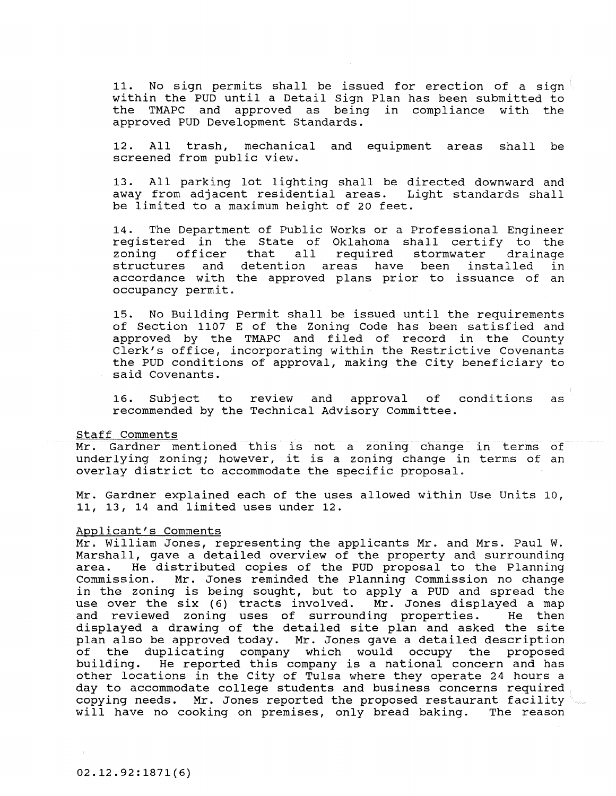11. No sign permits shall be issued for erection of a sign within the PUD until a Detail Sign Plan has been submitted to the TMAPC and approved as being in compliance with the approved PUD Development Standards.

12. All trash, mechanical and equipment areas shall be screened from public view.

13. All parking lot lighting shall be directed downward and away from adjacent residential areas. Light standards shall be limited to a maximum height of 20 feet.

14. The Department of Public Works or a Professional Engineer registered in the state of Oklahoma shall certify to the zoning officer that all required stormwater drainage zoning officer that all required stormwater drainage<br>structures and detention areas have been installed in accordance with the approved plans prior to issuance of an occupancy permit.

15. No Building Permit shall be issued until the requirements of section 1107 E of the Zoning Code has been satisfied and approved by the TMAPC and filed of record in the County Clerk's office, incorporating within the Restrictive Covenants the PUD conditions of approval, making the City beneficiary to said Covenants.

16. Subject to review and approval of conditions as recommended by the Technical Advisory Committee.

### Staff Comments

Mr. Gardner mentioned this is not a zoning change in terms of mr. Garaner mentioned this is not a zoning change in terms of<br>underlying zoning; however, it is a zoning change in terms of an overlay district to accommodate the specific proposal.

Mr. Gardner explained each of the uses allowed within Use Units 10, 11, 13, 14 and limited uses under 12.

### Applicant's Comments

Mr. William Jones, representing the applicants Mr. and Mrs. Paul W. Marshall, gave a detailed overview of the property and surrounding area. He distributed copies of the PUD proposal to the Planning Commission. Mr. Jones reminded the Planning Commission no change Commission. Mr. Jones reminded the Planning Commission no change<br>in the zoning is being sought, but to apply a PUD and spread the use over the six (6) tracts involved. Mr. Jones displayed a map<br>and reviewed zoning uses of surrounding properties. He then and reviewed zoning uses of surrounding properties. displayed a drawing of the detailed site plan and asked the site plan also be approved today. Mr. Jones gave a detailed description<br>of the duplicating company which would occupy the proposed of the duplicating company which would occupy the building. He reported this company is a national concer He reported this company is a national concern and has building. He reported this company is a hational concern and has<br>other locations in the City of Tulsa where they operate 24 hours a day to accommodate college students and business concerns required copying needs. Mr. Jones reported the proposed restaurant facility<br>will have no cooking on premises, only bread baking. The reason will have no cooking on premises, only bread baking.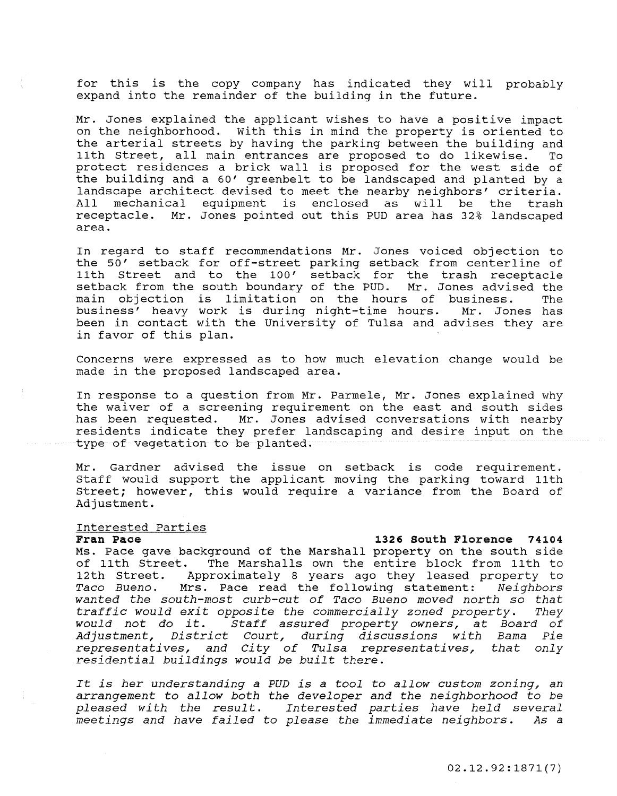for this is the copy company has indicated they will probably expand into the remainder of the building in the future.

Mr. Jones explained the applicant wishes to have a positive impact on the neighborhood. with this in mind the property is oriented to the arterial streets by having the parking between the building and<br>11th Street, all main entrances are proposed to do likewise. To 11th Street, all main entrances are proposed to do likewise. protect residences a brick wall is proposed for the west side of the building and a 60' greenbelt to be landscaped and planted by a landscape architect devised to meet the nearby neighbors' criteria. All mechanical equipment is enclosed as will be the trash receptacle. Mr. Jones pointed out this PUD area has 32% landscaped area.

In regard to staff recommendations Mr. Jones voiced objection to the 50' setback for off-street parking setback from centerline of 11th street and to the 100' setback for the trash receptacle setback from the south boundary of the PUD. Mr. Jones advised the<br>main objection is limitation on the hours of business. The main objection is limitation on the hours of business. The<br>business' heavy work is during night-time hours. Mr. Jones has business' heavy work is during night-time hours. been in contact with the University of Tulsa and advises they are in favor of this plan.

Concerns were expressed as to how much elevation change would be made in the proposed landscaped area.

In response to a question from Mr. Parmele, Mr. Jones explained why the waiver of a screening requirement on the east and south sides<br>has been requested. Mr. Jones advised conversations with nearby Mr. Jones advised conversations with nearby residents indicate they prefer landscaping and desire input on the type of vegetation to be planted.

Mr. Gardner advised the issue on setback is code requirement. staff would support the applicant moving the parking toward 11th street; however, this would require a variance from the Board of Adjustment.

## **Interested Parties**

### 1326 South Florence 74104

Ms. Pace gave background of the Marshall property on the south side of 11th street. The Marshalls own the entire block from 11th to 12th Street. Approximately 8 years ago they leased property to<br>Taco Bueno. Mrs. Pace read the following statement: Neighbors *Taco Bueno.* Mrs. Pace read the following statement: *Neighbors wanted the south-most curb-cut of Taco Bueno moved north so that traffic would exit opposite the commercially zoned property. would not* do *it. staff assured property owners,* at *Board of*  Adjustment, District Court, during discussions with Bama *representatives, and city of Tulsa representatives, that only residential buildings would* be *built there.* 

*It is her understanding* a *PUD is* a *tool* to *allow custom zoning,* an *arrangement* to *allow both the developer and the neighborhood* to *be pleased wi th the resul* t. *Interested parties have held several*  meetings and have failed to please the immediate neighbors.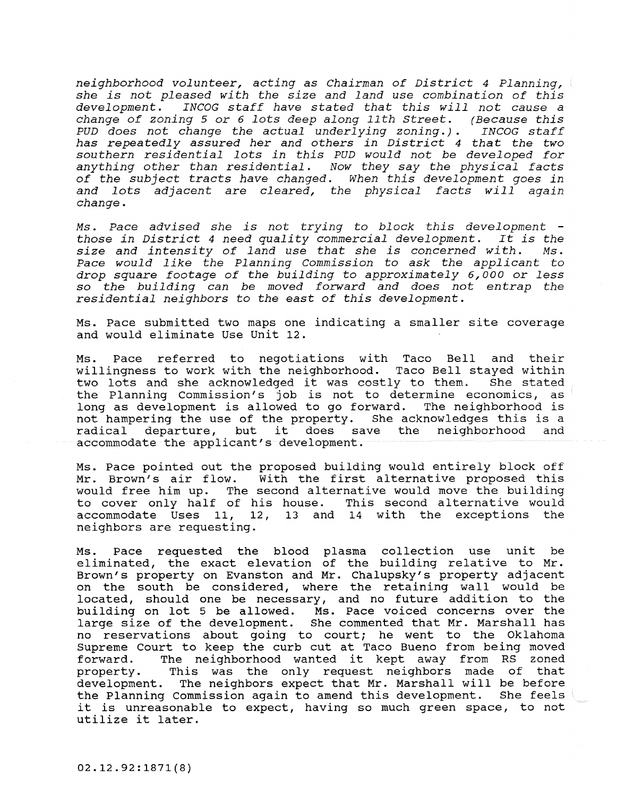neighborhood volunteer, acting as Chairman of District 4 Planning, she is not pleased with the size and land use combination of this development. INCOG staff have stated that this will not cause <sup>a</sup> change of zoning 5 or 6 lots deep along 11th Street. (Because this<br>PUD does not change the actual underlying zoning.). INCOG staff  $PUD$  does not change the actual underlying zoning.). has repeatedly assured her and others in District 4 that the two southern residential lots in this PUD would not be developed for anything other than residential. Now they say the physical facts of the subject tracts have changed. When this development goes in and lots adjacent are cleared, the physical facts will again change.

Ms. Pace advised she is not trying to block this development -Ms. Pace advised she is not trying to block this development -<br>those in District 4 need quality commercial development. It is the size and intensity of land use that she is concerned with. Ms. Pace would like the Planning commission to ask the applicant to drop square footage of the building to approximately 6,000 or less so the building can be moved forward and does not entrap the residential neighbors to the east of this development.

Ms. Pace submitted two maps one indicating a smaller site coverage and would eliminate Use Unit 12.

Ms. Pace referred to negotiations with Taco Bell and their willingness to work with the neighborhood. Taco Bell stayed within<br>two lots and she acknowledged it was costly to them. She stated two lots and she acknowledged it was costly to them. the Planning Commission's job is not to determine economics, as long as development is allowed to go forward. The neighborhood is not hampering the use of the property. She acknowledges this is a not hampering the use of the property. She acknowledges this is a<br>radical departure, but it does save the neighborhood and it does save the neighborhood accommodate the applicant's development.

Ms. Pace pointed out the proposed building would entirely block off Mr. Brown's air flow. With the first alternative proposed this would free him up. The second alternative would move the building<br>to cover only half of his house. This second alternative would to cover only half of his house.<br>accommodate Uses 11, 12, 13 and 13 and 14 with the exceptions the neighbors are requesting.

Ms. Pace requested the blood plasma collection use unit be eliminated, the exact elevation of the building relative to Mr. Brown's property on Evanston and Mr. Chalupsky's property adjacent on the south be considered, where the retaining wall would be located, should one be necessary, and no future addition to the building on lot 5 be allowed. Ms. Pace voiced concerns over the large size of the development. She commented that Mr. Marshall has no reservations about going to court; he went to the Oklahoma Supreme Court to keep the curb cut at Taco Bueno from being moved forward. The neighborhood wanted it kept away from RS zoned<br>property. This was the only request neighbors made of that This was the only request neighbors made of that development. The neighbors expect that Mr. Marshall will be before the Planning Commission again to amend this development. She feels it is unreasonable to expect, having so much green space, to not utilize it later.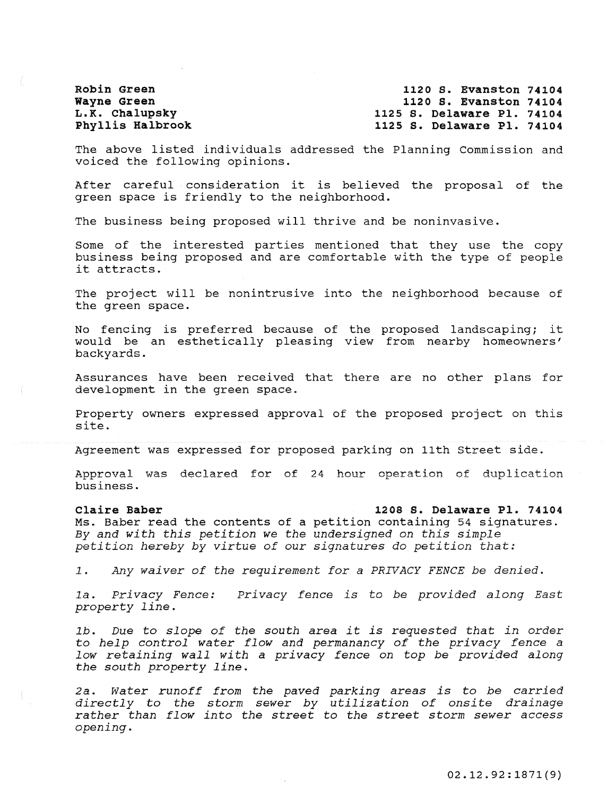Robin Green Wayne Green L.K. Chalupsky Phyllis Halbrook

1120 S. Evanston 74104 1120 S. Evanston 74104 1125 S. Delaware Pl. 74104 1125 S. Delaware Pl. 74104

The above listed individuals addressed the Planning commission and **voiced the following opinions.** 

After careful consideration it is believed the proposal of the green space is friendly to the neighborhood.

The business being proposed will thrive and be noninvasive.

Some of the interested parties mentioned that they use the copy business being proposed and are comfortable with the type of people it attracts.

The project will be nonintrusive into the neighborhood because of the green space.

No fencing is preferred because of the proposed landscaping; it would be an esthetically pleasing view from nearby homeowners' backyards.

Assurances have been received that there are no other plans for development in the green space.

Property owners expressed approval of the proposed project on this site.

Agreement was expressed for proposed parking on 11th Street side.

Approval was declared for of 24 hour operation of duplication business.

### Claire Baber

### 1208 S. Delaware Pl. 74104

Ms. Baber read the contents of a petition containing 54 signatures. *By and with this petition we the undersigned* on *this simple petition hereby by virtue of* our *signatures do petition that:* 

*1. Any waiver of the requirement for* a *PRIVACY FENCE be denied.* 

*1a. Privacy Fence: property line. privacy fence is* to *be provided along East* 

*lb. Due* to *slope of the south area it is requested that in order*  to *help control water flow and permanancy of the privacy fence* <sup>a</sup> *low retaining wall with* a *privacy fence* on *top be provided along the south property line.* 

*2a. water runoff from the paved parking areas is* to *be carried directly* to *the storm sewer by utilization of onsite drainage rather than flow into the street* to *the street storm sewer access opening.*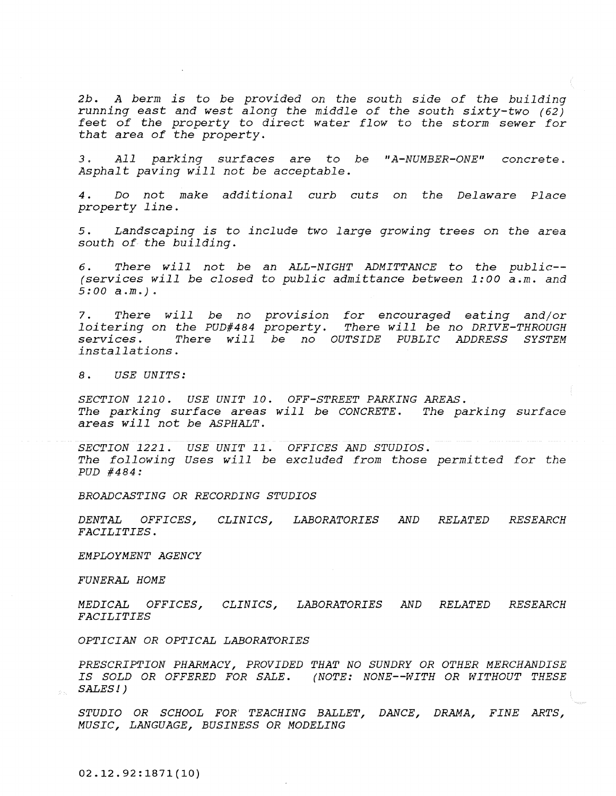*2b. A berm is* to *be provided* on *the south side of the building running east and west along the middle of the south sixty-two (62) feet of the property* to *direct water flow* to *the storm sewer for that area of the property.* 

3. )\ 77 *parking surfaces are* to *be "A-NUMBER-ONE" concrete. Asphalt paving will not be acceptable.* 

*4. Do not make additional curb cuts* on *the Delaware Place property line.* 

*5. Landscaping is* to *include two large growing* trees *on the area south of the building.* 

*6. There will not be* an *ALL-NIGHT ADMITTANCE* to *the pUblic-- (services will be closed* to *public admittance between 1:00 a.m. and 5:00 a.m.).* 

*7. There will be* no *provision for encouraged eating and/or 7.* There will be no provision<br>loitering on the PUD#484 property.<br>services. There will be no OU *services. There will be* no *OUTSIDE PUBLIC ADDRESS SYSTEM installations. for encouraged eating and/or<br>There will be no DRIVE-THROUGH<br>JTSIDE PUBLIC ADDRESS SYSTEM* 

*8. USE UNITS:* 

*SECTION 1210. USE UNIT 10. OFF-STREET PARKING AREAS. The parking surface areas will be CONCRETE. The parking surface areas will not be ASPHALT.* 

*SECTION* 1221. *USE UNIT* 11. *OFFICES AND STUDIOS. The following Uses will be excluded from those permitted for the PUD #484:* 

*BROADCASTING OR RECORDING STUDIOS* 

*DENTAL OFFICES, FACILITIES. CLINICS, LABORATORIES AND RELATED RESEARCH* 

*EMPLOYMENT AGENCY* 

*FUNERAL HOME* 

*MEDICAL OFFICES, FACILITIES CLINICS, LABORATORIES AND RELATED RESEARCH* 

*OPTICIAN OR OPTICAL LABORATORIES* 

*PRESCRIPTION PHARMACY, PROVIDED THAT* NO *SUNDRY OR OTHER MERCHANDISE*  IS SOLD OR OFFERED FOR SALE. (NOTE: NONE--WITH OR WITHOUT THESE *SALES! )* 

*STUDIO OR SCHOOL FOR TEACHING BALLET, DANCE, DRAMA, FINE ARTS, MUSIC, LANGUAGE, BUSINESS OR MODELING* 

02.12.92:1871(10)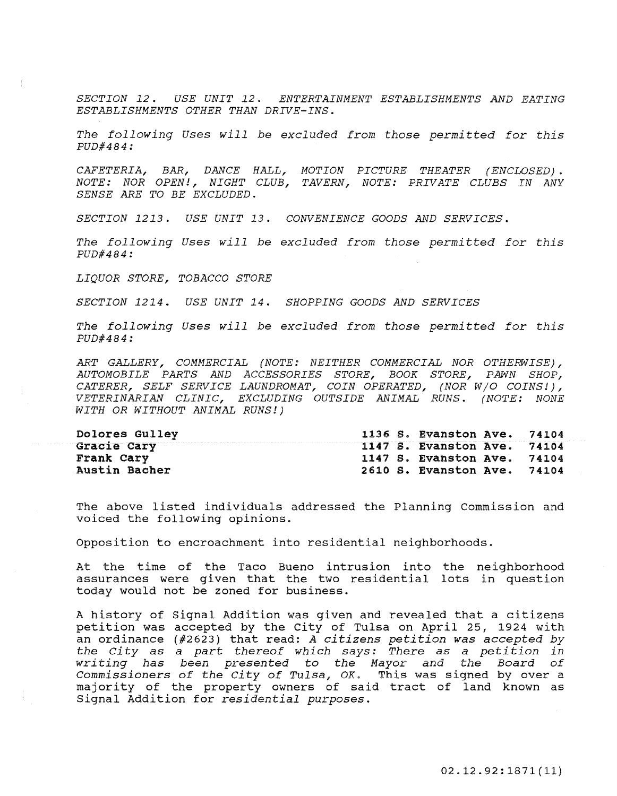*SECTION* 12. *USE UNIT* 12. *ENTERTAINMENT ESTABLISHMENTS AND EATING ESTABLISHMENTS OTHER THAN DRIVE-INS.* 

The following Uses will be excluded from those permitted for this *PUD#484:* 

*CAFETERIA, BAR, DANCE HALL, MOTION PICTURE THEATER (ENCLOSED). NOTE: NOR OPEN!, NIGHT CLUB, TAVERN, NOTE: PRIVATE CLUBS IN ANY SENSE ARE TO BE EXCLUDED.* 

*SECTION* 1213. *USE UNIT* 13. *CONVENIENCE GOODS AND SERVICES.* 

The following Uses will be excluded from those permitted for this *PUD#484:* 

*LIQUOR STORE, TOBACCO STORE* 

*SECTION* 1214. *USE UNIT* 14. *SHOPPING GOODS AND SERVICES* 

The following Uses will be excluded from those permitted for this *PUD#484:* 

*ART GALLERY, COMMERCIAL (NOTE: NEITHER COMMERCIAL NOR OTHERWISE), AUTOMOBILE PARTS AND ACCESSORIES STORE, BOOK STORE, PAWN SHOP, CATERER, SELF SERVICE LAUNDROMAT, COIN OPERATED, (NOR W/O COINS!), VETERINARIAN CLINIC, EXCLUDING OUTSIDE ANIMAL RUNS. (NOTE: NONE WITH OR WITHOUT ANIMAL RUNS!)* 

| Dolores Gulley       |  | 1136 S. Evanston Ave. 74104 |  |
|----------------------|--|-----------------------------|--|
| Gracie Cary          |  | 1147 S. Evanston Ave. 74104 |  |
| Frank Cary           |  | 1147 S. Evanston Ave. 74104 |  |
| <b>Austin Bacher</b> |  | 2610 S. Evanston Ave. 74104 |  |

The above listed individuals addressed the Planning Commission and voiced the following opinions.

opposition to encroachment into residential neighborhoods.

At the time of the Taco Bueno intrusion into assurances were given that the two residential today would not be zoned for business. the lots neighborhood in question

A history of Signal Addition was given and revealed that a citizens petition was accepted by the City of Tulsa on April 25, 1924 with an ordinance (#2623) that read: A citizens petition was accepted by the City as a part thereof which says: There as a petition in writing has been presented to the Mayor and the Board of Commissioners of the City of Tulsa, OK. This was signed by over a majority of the property owners of said tract of land known as Signal Addition for residential purposes.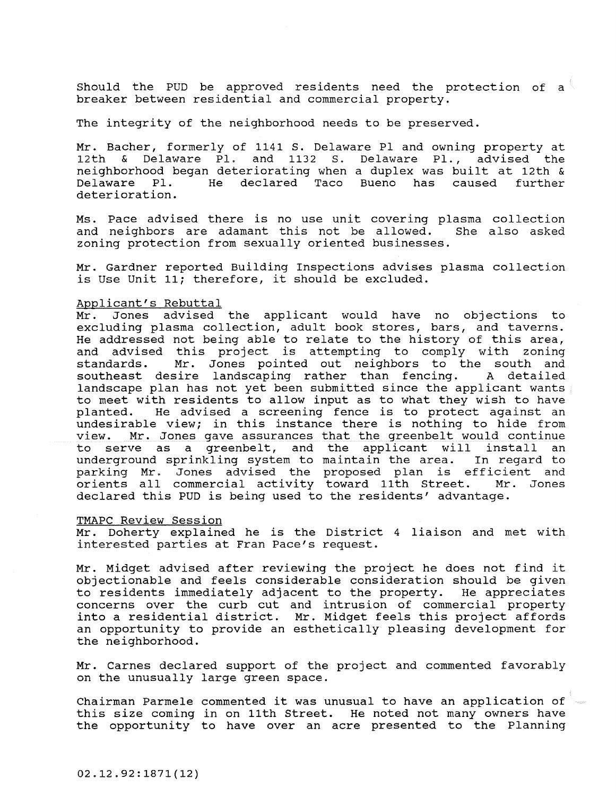Should the PUD be approved residents need the protection of a breaker between residential and commercial property.

The integrity of the neighborhood needs to be preserved.

Mr. Bacher, formerly of 1141 S. Delaware PI and owning property at 12th & Delaware Pl. and 1132 S. Delaware Pl., advised the neighborhood began deteriorating when a duplex was built at 12th & Delaware Pl. He declared Taco Bueno deterioration. has caused further

Ms. Pace advised there is no use unit covering plasma collection and neighbors are adamant this not be allowed. zoning protection from sexually oriented businesses.

Mr. Gardner reported Building Inspections advises plasma collection is Use unit 11; therefore, it should be excluded.

## Applicant's Rebuttal<br>Mr. Jones advised

Jones advised the applicant would have no objections to excluding plasma collection, adult book stores, bars, and taverns. He addressed not being able to relate to the history of this area, and advised this project is attempting to comply with zoning<br>standards. Mr. Jones pointed out neighbors to the south and Mr. Jones pointed out neighbors to the south and<br>sire landscaping rather than fencing. A detailed southeast desire landscaping rather than fencing. landscape plan has not yet been submitted since the applicant wants to meet with residents to allow input as to what they wish to have<br>planted. He advised a screening fence is to protect against an He advised a screening fence is to protect against an undesirable view; in this instance there is nothing to hide from<br>view. Mr. Jones gave assurances that the greenbelt would continue Mr. Jones gave assurances that the greenbelt would continue to serve as a greenbelt, and the applicant will install an underground sprinkling system to maintain the area. parking Mr. Jones advised the proposed plan is efficient and<br>orients all commercial activity toward 11th Street. Mr. Jones orients all commercial activity toward 11th Street. declared this PUD is being used to the residents' advantage.

### TMAPC Review Session

Mr. Doherty explained he is the District 4 liaison and met with interested parties at Fran Pace's request.

Mr. Midget advised after reviewing the project he does not find it objectionable and feels considerable consideration should be given<br>to residents immediately adjacent to the property. He appreciates to residents immediately adjacent to the property. concerns over the curb cut and intrusion of commercial property into a residential district. Mr. Midget feels this project affords an opportunity to provide an esthetically pleasing development for the neighborhood.

Mr. Carnes declared support of the project and commented favorably on the unusually large green space.

Chairman Parmele commented it was unusual to have an application of this size coming in on 11th Street. He noted not many owners have the opportunity to have over an acre presented to the Planning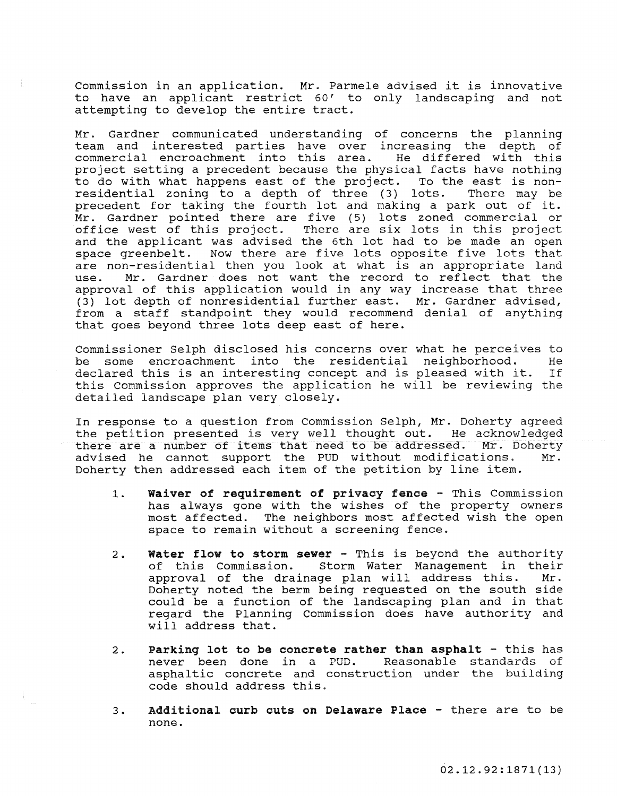commission in an application. Mr. Parmele advised it is innovative to have an applicant restrict 60' to only landscaping and not attempting to develop the entire tract.

Mr. Gardner communicated understanding of concerns the planning team and interested parties have over increasing the depth of commercial encroachment into this area. He differed with this project setting a precedent because the physical facts have nothing to do with what happens east of the project. To the east is non-<br>residential zoning to a depth of three (3) lots. There may be residential zoning to a depth of three (3) lots. precedent for taking the fourth lot and making a park out of it. Mr. Gardner pointed there are five (5) lots zoned commercial or office west of this project. There are six lots in this project and the applicant was advised the 6th lot had to be made an open space greenbelt. Now there are five lots opposite five lots that are non-residential then you look at what is an appropriate land<br>use. Mr. Gardner does not want the record to reflect that the Mr. Gardner does not want the record to reflect that the approval of this application would in any way increase that three (3) lot depth of nonresidential further east. Mr. Gardner advised, from a staff standpoint they would recommend denial of anything that goes beyond three lots deep east of here.

commissioner Selph disclosed his concerns over what he perceives to be some encroachment into the residential neighborhood. He<br>declared\_this\_is\_an\_interesting\_concept\_and\_is\_pleased\_with\_it.\_\_If declared this is an interesting concept and is pleased with it. this Commission approves the application he will be reviewing the detailed landscape plan very closely.

In response to a question from Commission Selph, Mr. Doherty agreed the petition presented is very well thought out. He acknowledged<br>there are a number of items that need to be addressed. Mr. Doherty there are a number of items that need to be addressed. Mr. Doherty<br>advised he cannot support the PUD without modifications. Mr. advised he cannot support the PUD without modifications. Doherty then addressed each item of the petition by line item.

- 1. Waiver of requirement of privacy fence This Commission has always gone with the wishes of the property owners most affected. The neighbors most affected wish the open space to remain without a screening fence.
- 2. Water flow to storm sewer This is beyond the authority<br>of this Commission. Storm Water Management in their Storm Water Management in their approval of the drainage plan will address this. Mr. Doherty noted the berm being requested on the south side could be a function of the landscaping plan and in that regard the Planning Commission does have authority and will address that.
- 2. Parking lot to be concrete rather than asphalt this has<br>never been done in a PUD. Reasonable standards of never been done in a PUD. asphaltic concrete and construction under the building code should address this.
- 3. Additional curb cuts on Delaware Place there are to be none.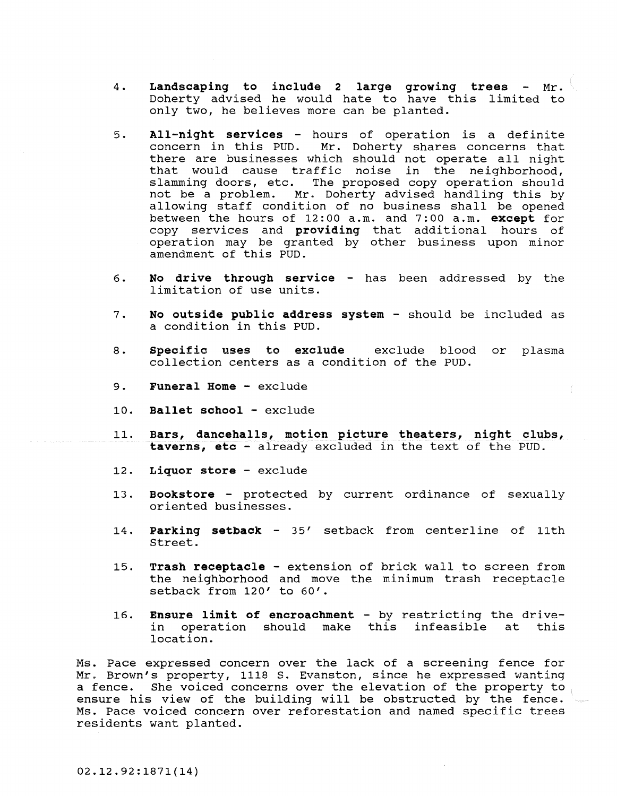- 4. Landscaping to include 2 large growing trees  $Mr.$ Doherty advised he would hate to have this limited to only two, he believes more can be planted.
- 5. All-night services hours of operation is a definite concern in this PUD. Mr. Doherty shares concerns that there are businesses which should not operate all night that would cause traffic noise in the neighborhood, slamming doors, etc. The proposed copy operation should<br>not be a problem. Mr. Doherty advised handling this by Mr. Doherty advised handling this by allowing staff condition of no business shall be opened between the hours of 12:00 a.m. and 7:00 a.m. except for copy services and providing that additional hours of operation may be granted by other business upon minor amendment of this PUD.
- 6. No drive through service has been addressed by the limitation of use units.
- 7. No outside public address system should be included as a condition in this PUD.
- 8. Specific uses to exclude exclude blood or plasma collection centers as a condition of the PUD.
- 9. Funeral Home exclude
- 10. Ballet school exclude
- 11. Bars, dancehalls, motion picture theaters, night clubs, taverns, etc - already excluded in the text of the PUD.
- 12. Liquor store exclude
- 13. Bookstore protected by current ordinance of sexually oriented businesses.
- 14. parking setback 35' setback from centerline of 11th street.
- 15. Trash receptacle extension of brick wall to screen from the neighborhood and move the minimum trash receptacle setback from 120' to 60'.
- 16. **Ensure limit of encroachment** by restricting the drive-<br>in operation should make this infeasible at this in operation should make this infeasible at this location.

Ms. Pace expressed concern over the lack of a screening fence for **Mr. Brown's property, 1118 S. Evanston, since he expressed wanting**  a fence. She voiced concerns over the elevation of the property to ensure his view of the building will be obstructed by the fence. Ms. Pace voiced concern over reforestation and named specific trees residents want planted.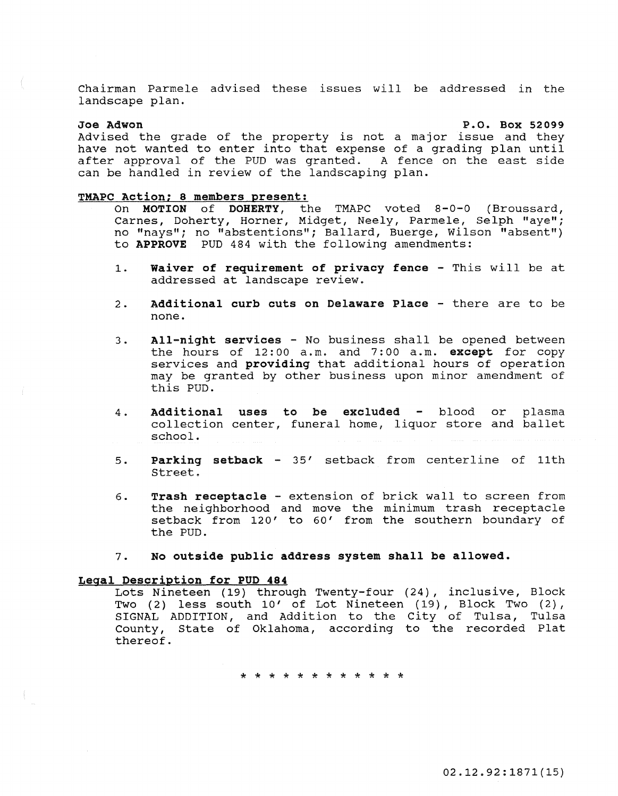Chairman Parmele advised these issues will be addressed in the landscape plan.

### Joe Adwon

P.O. Box 52099

Advised the grade of the property is not a major issue and they have not wanted to enter into that expense of a grading plan until after approval of the PUD was granted. A fence on the east side can be handled in review of the landscaping plan.

### TMAPC Action: 8 members present:

- On MOTION of DOHERTY, the TMAPC voted 8-0-0 (Broussard, Carnes, Doherty, Horner, Midget, Neely, Parmele, Selph "aye"; no "nays"; no "abstentions"; Ballard, Buerge, Wilson "absent") to APPROVE PUD 484 with the following amendments:
- 1. Waiver of requirement of privacy fence This will be at addressed at landscape review.
- 2. Additional curb cuts on Delaware Place there are to be none.
- 3. All-night services No business shall be opened between the hours of 12:00 a.m. and 7:00 a.m. except for copy services and **providing** that additional hours of operation may be granted by other business upon minor amendment of this PUD.
- 4. Additional uses to be excluded - blood or plasma collection center, funeral home, liquor store and ballet school.
- 5. Parking setback - 35' setback from centerline of 11th Street.
- 6. Trash receptacle extension of brick wall to screen from the neighborhood and move the minimum trash receptacle setback from 120' to 60' from the southern boundary of the PUD.
- 7. No outside public address system shall be allowed.

### Legal Description for PUD 484

Lots Nineteen (19) through Twenty-four (24), inclusive, Block Two (2) less south 10' of Lot Nineteen (19), Block Two (2), SIGNAL ADDITION, and Addition to the City of Tulsa, Tulsa County, State of Oklahoma, according to the recorded Plat thereof.

\* \* \* \* \* \* \* \* \* \* \* \*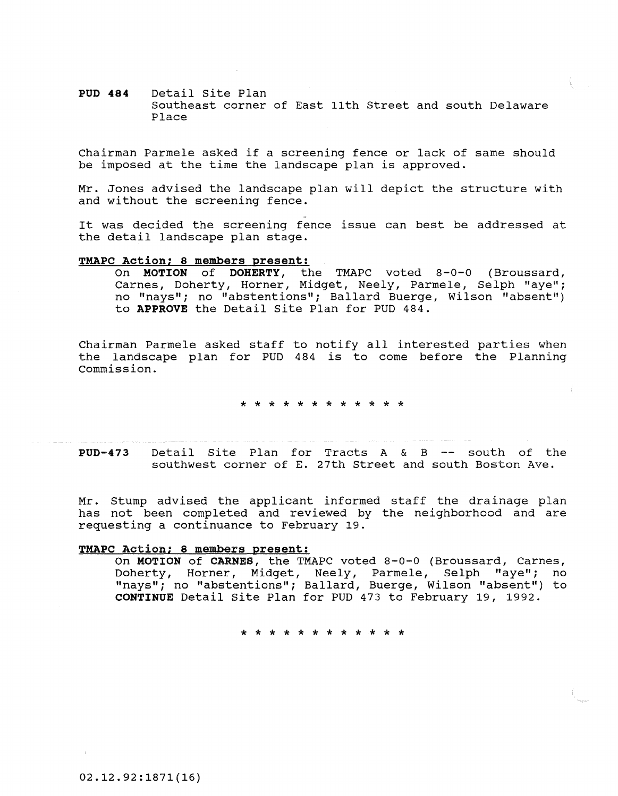### **PUD 484** Detail site Plan Southeast corner of East 11th Street and south Delaware Place

Chairman Parmele asked if a screening fence or lack of same should be imposed at the time the landscape plan is approved.

Mr. Jones advised the landscape plan will depict the structure with and without the screening fence.

It was decided the screening fence issue can best be addressed at the detail landscape plan stage.

### **TMAPC Action: 8 members present:**

On **MOTION of DOHERTY,** the TMAPC voted 8-0-0 (Broussard, Carnes, Doherty, Horner, Midget, Neely, Parmele, Selph "aye"; no "nays"; no "abstentions"; Ballard Buerge, Wilson "absent") to **APPROVE** the Detail site Plan for PUD 484.

Chairman Parmele asked staff to notify all interested parties when the landscape plan for PUD 484 is to come before the Planning Commission.

\* \* \* \* \* \* \* \* \* \* \* \*

**PUD-473** Detail Site Plan for Tracts A & B -- south of the southwest corner of E. 27th street and south Boston Ave.

Mr. Stump advised the applicant informed staff the drainage plan has not been completed and reviewed by the neighborhood and are requesting a continuance to February 19.

### **TMAPC Action: 8 members present:**

On **MOTION of CARNES,** the TMAPC voted 8-0-0 (Broussard, Carnes, Doherty, Horner, Midget, Neely, Parmele, Selph "aye"; no "nays"; no "abstentions"; Ballard, Buerge, Wilson "absent") to **CONTINUE** Detail Site Plan for PUD 473 to February 19, 1992.

لک لٹ لٹ لٹ لٹ لٹ لٹ لٹ لٹ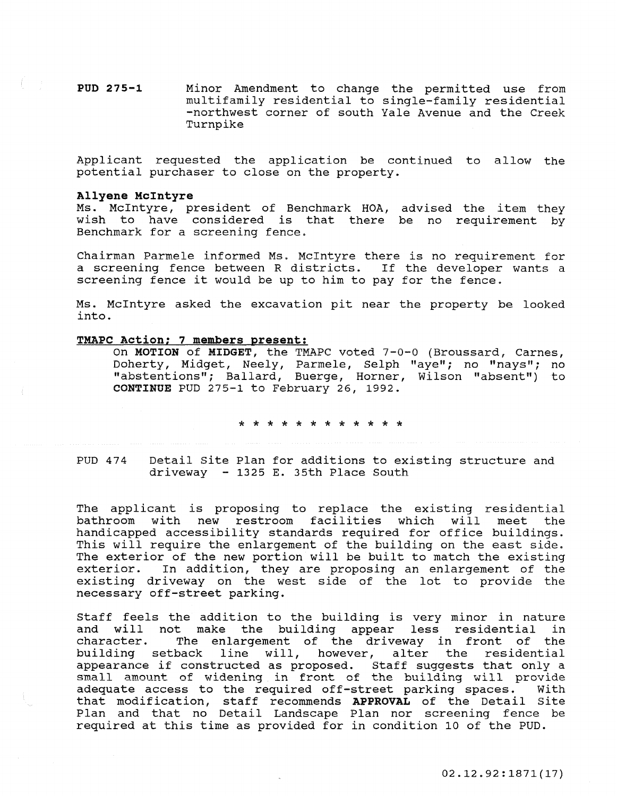**PUD** 275-1 Minor Amendment to change the permitted use from multifamily residential to single-family residential -northwest corner of south Yale Avenue and the Creek Turnpike

Applicant requested the application be continued to allow the potential purchaser to close on the property.

### **Allyene McIntyre**

Ms. McIntyre, president of Benchmark HOA, advised the item they wish to have considered is that there be no requirement by Benchmark for a screening fence.

Chairman Parmele informed Ms. McIntyre there is no requirement for a screening fence between R districts. If the developer wants a screening fence it would be up to him to pay for the fence.

Ms. McIntyre asked the excavation pit near the property be looked into.

### **TMAPC Action; 7 members present:**

On MOTION of MIDGET, the TMAPC voted 7-0-0 (Broussard, Carnes, Doherty, Midget, Neely, Parmele, Selph "aye"; no "nays"; no "abstentions"; Ballard, Buerge, Horner, Wilson "absent") to CONTINUE PUD 275-1 to February 26, 1992.

\* \* \* \* \* \* \* \* \* \* \* \*

PUD 474

Detail site Plan for additions to existing structure and driveway - 1325 E. 35th Place South

The applicant is proposing to replace the existing residential<br>bathroom with new restroom facilities which will meet the bathroom with new restroom facilities which will meet handicapped accessibility standards required for office buildings. This will require the enlargement of the building on the east side. The exterior of the new portion will be built to match the existing<br>exterior. In addition, they are proposing an enlargement of the In addition, they are proposing an enlargement of the existing driveway on the west side of the lot to provide the necessary off-street parking.

Staff feels the addition to the building is very minor in nature and will not make the building appear less residential in character. The enlargement of the driveway in front of the character. The enlargement of the driveway in front of the building setback line will, however, alter the residential building setback line will, however, alter the residential<br>appearance if constructed as proposed. Staff suggests that only a **small amount of widening in front of the building will provide adequate access to the required off-street parking spaces.** With adequate access to the required off-street parking spaces. that modification, staff recommends **APPROVAL** of the Detail site Plan and that no Detail Landscape Plan nor screening fence be required at this time as provided for in condition 10 of the PUD.